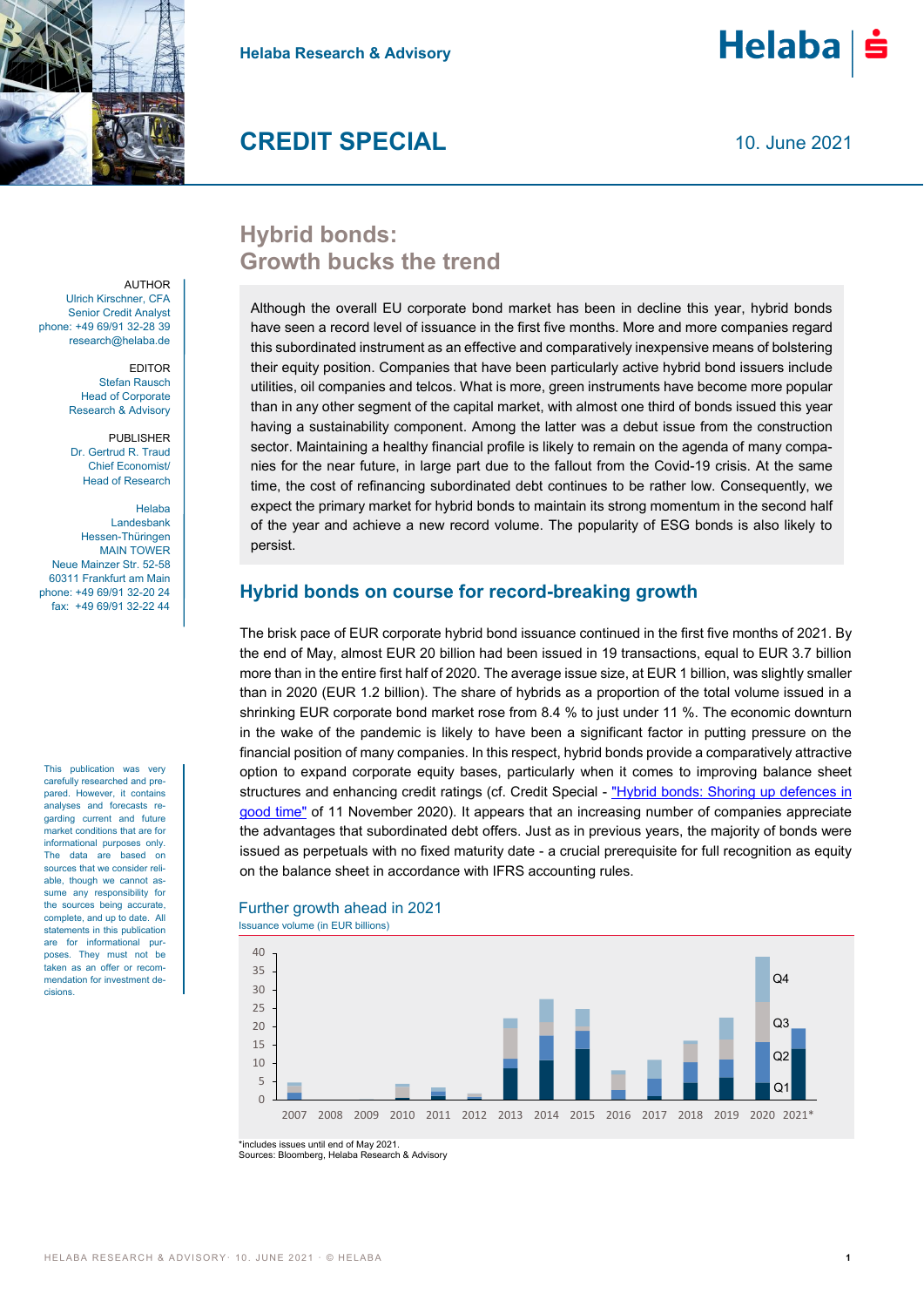



 $He$ laba $|\dot{\mathbf{s}}$ 

# **Hybrid bonds: Growth bucks the trend**

Although the overall EU corporate bond market has been in decline this year, hybrid bonds have seen a record level of issuance in the first five months. More and more companies regard this subordinated instrument as an effective and comparatively inexpensive means of bolstering their equity position. Companies that have been particularly active hybrid bond issuers include utilities, oil companies and telcos. What is more, green instruments have become more popular than in any other segment of the capital market, with almost one third of bonds issued this year having a sustainability component. Among the latter was a debut issue from the construction sector. Maintaining a healthy financial profile is likely to remain on the agenda of many companies for the near future, in large part due to the fallout from the Covid-19 crisis. At the same time, the cost of refinancing subordinated debt continues to be rather low. Consequently, we expect the primary market for hybrid bonds to maintain its strong momentum in the second half of the year and achieve a new record volume. The popularity of ESG bonds is also likely to persist.

# **Hybrid bonds on course for record-breaking growth**

The brisk pace of EUR corporate hybrid bond issuance continued in the first five months of 2021. By the end of May, almost EUR 20 billion had been issued in 19 transactions, equal to EUR 3.7 billion more than in the entire first half of 2020. The average issue size, at EUR 1 billion, was slightly smaller than in 2020 (EUR 1.2 billion). The share of hybrids as a proportion of the total volume issued in a shrinking EUR corporate bond market rose from 8.4 % to just under 11 %. The economic downturn in the wake of the pandemic is likely to have been a significant factor in putting pressure on the financial position of many companies. In this respect, hybrid bonds provide a comparatively attractive option to expand corporate equity bases, particularly when it comes to improving balance sheet structures and enhancing credit ratings (cf. Credit Special - ["Hybrid bonds: Shoring up defences in](https://www.helaba.de/blueprint/servlet/resource/blob/docs/538314/25971a0d41a9d1688f253db8c4f72794/cs-20201113-data.pdf)  [good time"](https://www.helaba.de/blueprint/servlet/resource/blob/docs/538314/25971a0d41a9d1688f253db8c4f72794/cs-20201113-data.pdf) of 11 November 2020). It appears that an increasing number of companies appreciate the advantages that subordinated debt offers. Just as in previous years, the majority of bonds were issued as perpetuals with no fixed maturity date - a crucial prerequisite for full recognition as equity on the balance sheet in accordance with IFRS accounting rules.



Further growth ahead in 2021

\*includes issues until end of May 2021. Sources: Bloomberg, Helaba Research & Advisory

Ulrich Kirschner, CFA Senior Credit Analyst phone: +49 69/91 32-28 39 research@helaba.de

**AUTHOR** 

EDITOR Stefan Rausch Head of Corporate Research & Advisory

PUBLISHER Dr. Gertrud R. Traud Chief Economist/ Head of Research

#### Helaba

Landesbank Hessen-Thüringen MAIN TOWER Neue Mainzer Str. 52-58 60311 Frankfurt am Main phone: +49 69/91 32-20 24 fax: +49 69/91 32-22 44

This publication was very carefully researched and prepared. However, it contains analyses and forecasts regarding current and future market conditions that are for informational purposes only. The data are based on sources that we consider reliable, though we cannot assume any responsibility for the sources being accurate, complete, and up to date. All statements in this publication are for informational purposes. They must not be taken as an offer or recommendation for investment decisions.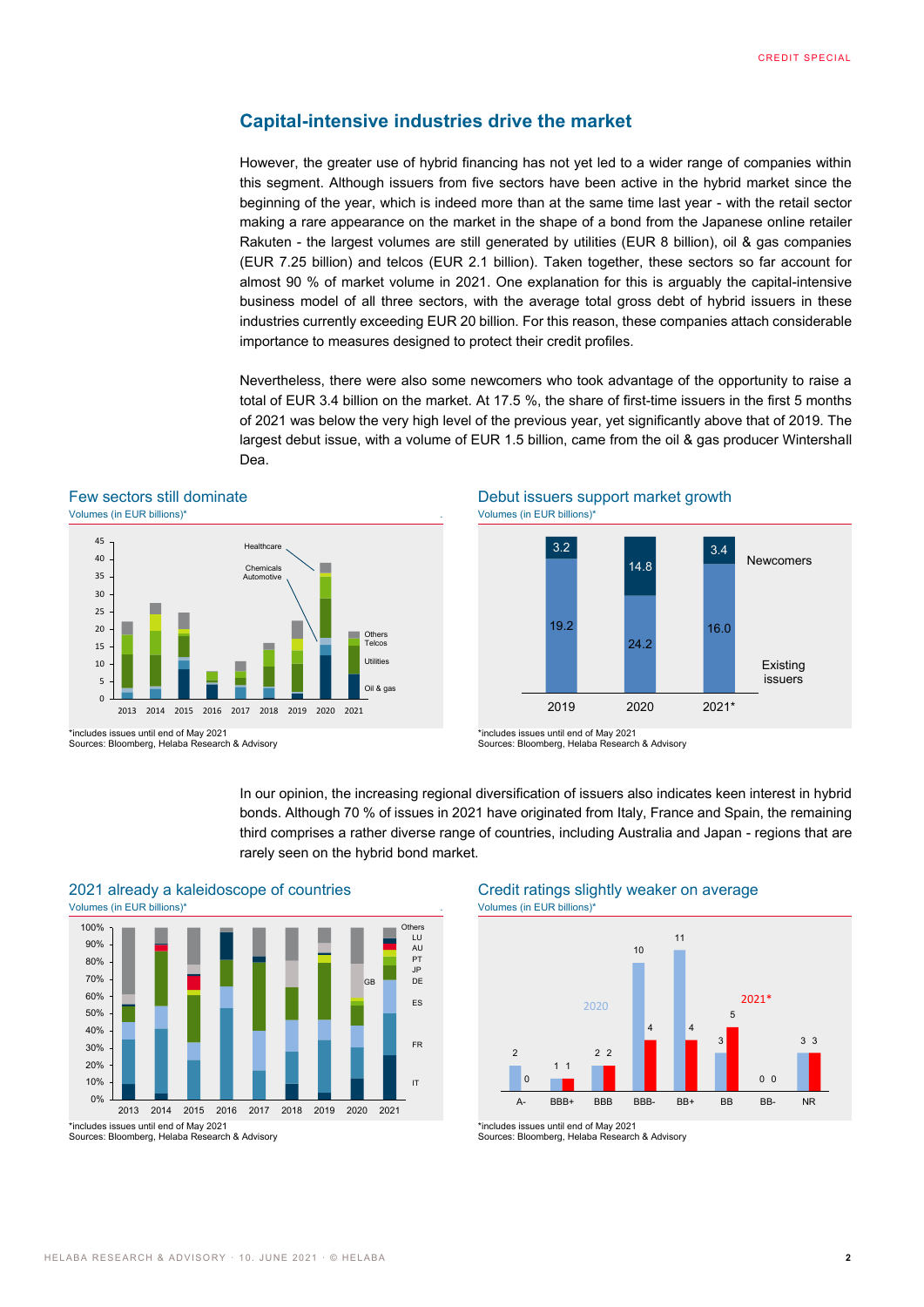## **Capital-intensive industries drive the market**

However, the greater use of hybrid financing has not yet led to a wider range of companies within this segment. Although issuers from five sectors have been active in the hybrid market since the beginning of the year, which is indeed more than at the same time last year - with the retail sector making a rare appearance on the market in the shape of a bond from the Japanese online retailer Rakuten - the largest volumes are still generated by utilities (EUR 8 billion), oil & gas companies (EUR 7.25 billion) and telcos (EUR 2.1 billion). Taken together, these sectors so far account for almost 90 % of market volume in 2021. One explanation for this is arguably the capital-intensive business model of all three sectors, with the average total gross debt of hybrid issuers in these industries currently exceeding EUR 20 billion. For this reason, these companies attach considerable importance to measures designed to protect their credit profiles.

Nevertheless, there were also some newcomers who took advantage of the opportunity to raise a total of EUR 3.4 billion on the market. At 17.5 %, the share of first-time issuers in the first 5 months of 2021 was below the very high level of the previous year, yet significantly above that of 2019. The largest debut issue, with a volume of EUR 1.5 billion, came from the oil & gas producer Wintershall Dea.

3.2

#### Few sectors still dominate **Debut issuers support market growth** Volumes (in EUR billions)\* . Volumes (in EUR billions)\*



\*includes issues until end of May 2021 19.2 24.2 16.0 2019 2020 2021\* Existing issuers

14.8

3.4

Newcomers

In our opinion, the increasing regional diversification of issuers also indicates keen interest in hybrid bonds. Although 70 % of issues in 2021 have originated from Italy, France and Spain, the remaining third comprises a rather diverse range of countries, including Australia and Japan - regions that are rarely seen on the hybrid bond market.



# 2021 already a kaleidoscope of countries Credit ratings slightly weaker on average



\*includes issues until end of May 2021

<sup>\*</sup>includes issues until end of May 2021 Sources: Bloomberg, Helaba Research & Advisory

Sources: Bloomberg, Helaba Research & Advisory

Sources: Bloomberg, Helaba Research & Advisory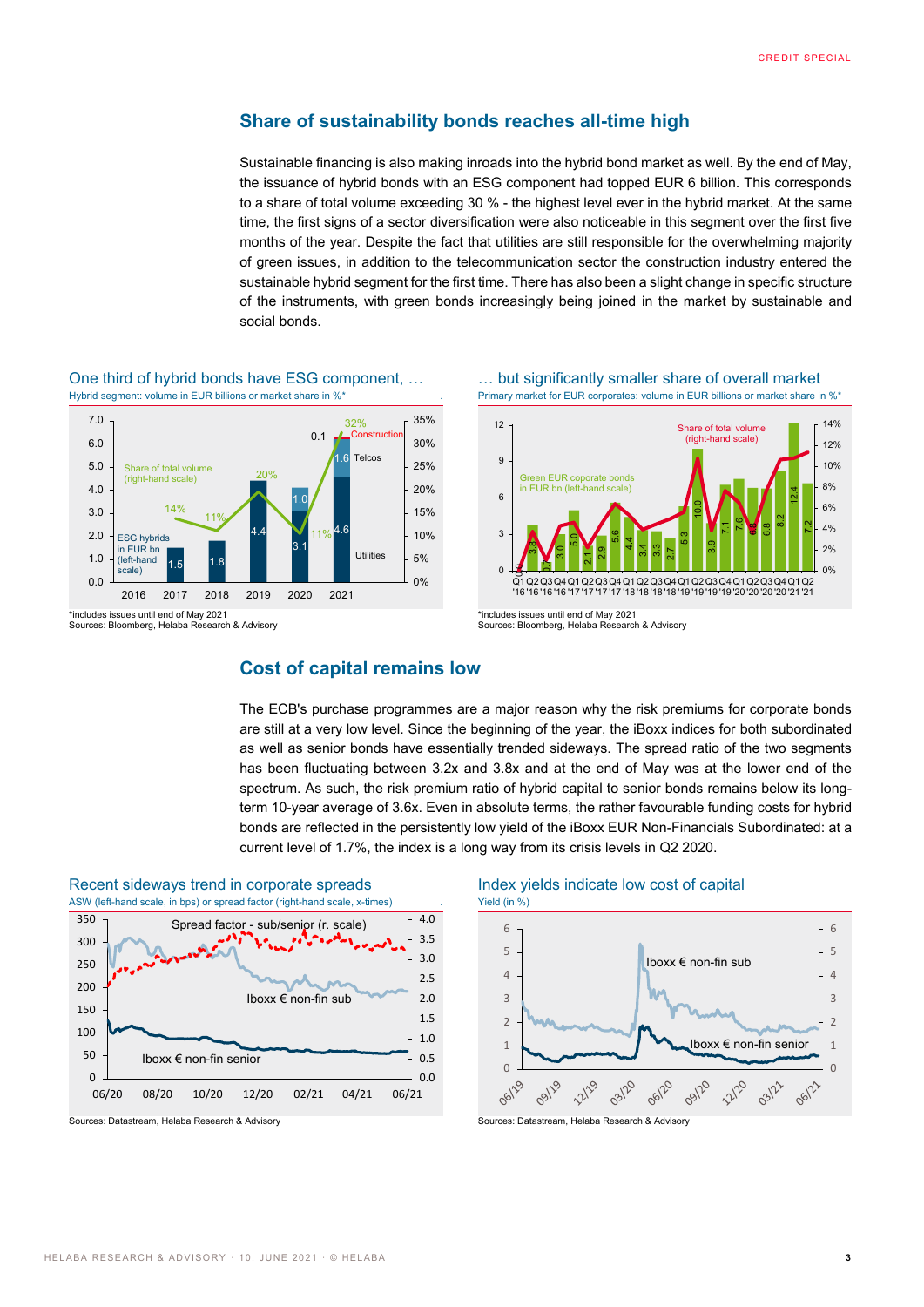$\frac{2!}{2!}$ 

 $0<sup>0</sup>$ 2%  $4%$ 6% 8% 10% 12% 14%

## **Share of sustainability bonds reaches all-time high**

Sustainable financing is also making inroads into the hybrid bond market as well. By the end of May, the issuance of hybrid bonds with an ESG component had topped EUR 6 billion. This corresponds to a share of total volume exceeding 30 % - the highest level ever in the hybrid market. At the same time, the first signs of a sector diversification were also noticeable in this segment over the first five months of the year. Despite the fact that utilities are still responsible for the overwhelming majority of green issues, in addition to the telecommunication sector the construction industry entered the sustainable hybrid segment for the first time. There has also been a slight change in specific structure of the instruments, with green bonds increasingly being joined in the market by sustainable and social bonds.



One third of hybrid bonds have ESG component, … … but significantly smaller share of overall market

Sources: Bloomberg, Helaba Research & Advisory

Hybrid segment: volume in EUR billions or market share in %\* . Primary market for EUR corporates: volume in EUR billions or market share in %\*

10.0

3.9 7.1 21 6.8  $\frac{8}{6}$  $\frac{2}{3}$ 12.4

Share of total volume (right-hand scale)

# **Cost of capital remains low**

The ECB's purchase programmes are a major reason why the risk premiums for corporate bonds are still at a very low level. Since the beginning of the year, the iBoxx indices for both subordinated as well as senior bonds have essentially trended sideways. The spread ratio of the two segments has been fluctuating between 3.2x and 3.8x and at the end of May was at the lower end of the spectrum. As such, the risk premium ratio of hybrid capital to senior bonds remains below its longterm 10-year average of 3.6x. Even in absolute terms, the rather favourable funding costs for hybrid bonds are reflected in the persistently low yield of the iBoxx EUR Non-Financials Subordinated: at a current level of 1.7%, the index is a long way from its crisis levels in Q2 2020.

3.8

3

6

9

12

 $\frac{1}{3}$ នា នា .<br>ი 5.6  $4.4$ 3.4  $\frac{3}{3}$ 2.7  $\frac{3}{5}$ 

Green EUR coporate bonds in EUR bn (left-hand scale)



Sources: Datastream, Helaba Research & Advisory Sources: Datastream, Helaba Research & Advisory





<sup>\*</sup>includes issues until end of May 2021 |<mark>g| |d| | | | | | | | | | |</mark><br>Q1 Q2 Q3 Q4 Q1 Q2 Q3 Q4 Q1 Q2 Q3 Q4 Q1 Q2 Q3 Q4 Q1 Q2 Q3 Q4 Q1 <u>ង</u>  $\Omega$ '16 '16 '16 '16 '17 '17 '17 '17 '18 '18 '18 '19 '19 '19 '19 '20 '20 '20 '21 '21

Sources: Bloomberg, Helaba Research & Advisory